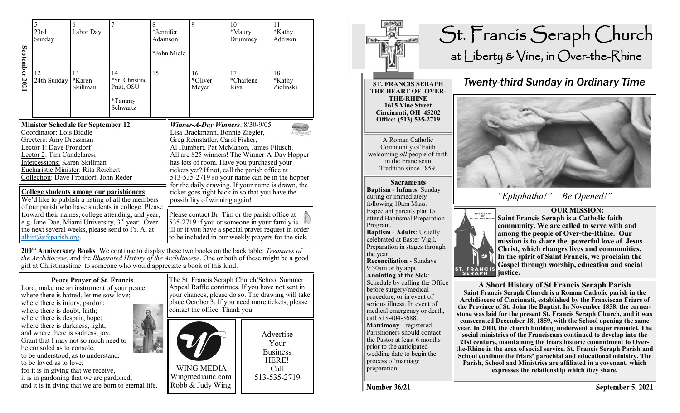|                | 5<br>23rd<br>Sunday                                                                                                                                                                         | 6<br>Labor Day                                                                                                                                                                                                                                                                       | 7                                                                                                                                                                                                                                                                                         | $\,8\,$<br>*Jennifer<br>Adamson | *John Miele | 9                                                                                                                                                                                                                                                                                                                                                                                                                                                                                                                                                                                                                                                                                                                                                                                                                                      | 10<br>*Maury | Drummey   | 11<br>*Kathy<br>Addison                                                                                                                                                         |
|----------------|---------------------------------------------------------------------------------------------------------------------------------------------------------------------------------------------|--------------------------------------------------------------------------------------------------------------------------------------------------------------------------------------------------------------------------------------------------------------------------------------|-------------------------------------------------------------------------------------------------------------------------------------------------------------------------------------------------------------------------------------------------------------------------------------------|---------------------------------|-------------|----------------------------------------------------------------------------------------------------------------------------------------------------------------------------------------------------------------------------------------------------------------------------------------------------------------------------------------------------------------------------------------------------------------------------------------------------------------------------------------------------------------------------------------------------------------------------------------------------------------------------------------------------------------------------------------------------------------------------------------------------------------------------------------------------------------------------------------|--------------|-----------|---------------------------------------------------------------------------------------------------------------------------------------------------------------------------------|
| September 2021 | 12<br>24th Sunday                                                                                                                                                                           | 13<br>*Karen<br>Skillman                                                                                                                                                                                                                                                             | 14<br>*Sr. Christine<br>Pratt, OSU<br>*Tammy<br>Schwartz                                                                                                                                                                                                                                  | 15                              |             | 16<br>*Oliver<br>Meyer                                                                                                                                                                                                                                                                                                                                                                                                                                                                                                                                                                                                                                                                                                                                                                                                                 | 17<br>Riva   | *Charlene | 18<br>*Kathy<br>Zielinski                                                                                                                                                       |
|                | Coordinator: Lois Biddle<br><b>Greeters:</b> Amy Dressman<br>Lector 1: Dave Frondorf<br>Lector 2: Tim Candelaresi<br>Intercessions: Karen Skillman<br>$alhirt(@sfsparish.org)$ .            | <b>Minister Schedule for September 12</b><br>Eucharistic Minister: Rita Reichert<br>Collection: Dave Frondorf, John Reder<br>College students among our parishioners                                                                                                                 | We'd like to publish a listing of all the members<br>of our parish who have students in college. Please<br>forward their names, college attending, and year,<br>e.g. Jane Doe, Miami University, 3 <sup>rd</sup> year. Over<br>the next several weeks, please send to Fr. Al at           |                                 |             | <b>Winner-A-Day Winners: 8/30-9/05</b><br>Lisa Brackmann, Bonnie Ziegler,<br>Greg Reinstatler, Carol Fisher,<br>Al Humbert, Pat McMahon, James Filusch.<br>All are \$25 winners! The Winner-A-Day Hopper<br>has lots of room. Have you purchased your<br>tickets yet? If not, call the parish office at<br>513-535-2719 so your name can be in the hopper<br>for the daily drawing. If your name is drawn, the<br>ticket goes right back in so that you have the<br>possibility of winning again!<br>Please contact Br. Tim or the parish office at<br>535-2719 if you or someone in your family is<br>ill or if you have a special prayer request in order<br>to be included in our weekly prayers for the sick.<br>200 <sup>th</sup> Anniversary Books We continue to display these two books on the back table: <i>Treasures of</i> |              |           |                                                                                                                                                                                 |
|                | where there is injury, pardon;<br>where there is doubt, faith;<br>where there is despair, hope;<br>where there is darkness, light;<br>be consoled as to console;<br>to be loved as to love; | <b>Peace Prayer of St. Francis</b><br>where there is hatred, let me sow love;<br>and where there is sadness, joy.<br>Grant that I may not so much need to<br>to be understood, as to understand,<br>for it is in giving that we receive,<br>it is in pardoning that we are pardoned, | the Archdiocese, and the Illustrated History of the Archdiocese. One or both of these might be a good<br>gift at Christmastime to someone who would appreciate a book of this kind.<br>Lord, make me an instrument of your peace;<br>and it is in dying that we are born to eternal life. |                                 |             | The St. Francis Seraph Church/School Summer<br>Appeal Raffle continues. If you have not sent in<br>contact the office. Thank you.<br><b>WING MEDIA</b><br>Wingmediainc.com<br>Robb & Judy Wing                                                                                                                                                                                                                                                                                                                                                                                                                                                                                                                                                                                                                                         |              |           | your chances, please do so. The drawing will take<br>place October 3. If you need more tickets, please<br>Advertise<br>Your<br><b>Business</b><br>HERE!<br>Call<br>513-535-2719 |



Number 36/21